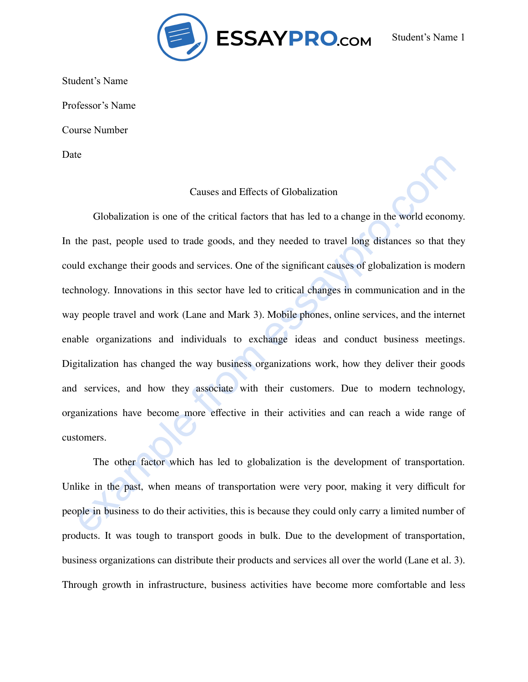

Student's Name

Professor's Name

Course Number

Date

## Causes and Effects of Globalization

Causes and Effects of Globalization<br>
Globalization is one of the critical factors that has led to a change in the world economy.<br>
the past, people used to trade goods, and they needed to travel long distances so that they<br> Globalization is one of the critical factors that has led to a change in the world economy. In the past, people used to trade goods, and they needed to travel long distances so that they could exchange their goods and services. One of the significant causes of globalization is modern technology. Innovations in this sector have led to critical changes in communication and in the way people travel and work (Lane and Mark 3). Mobile phones, online services, and the internet enable organizations and individuals to exchange ideas and conduct business meetings. Digitalization has changed the way business organizations work, how they deliver their goods and services, and how they associate with their customers. Due to modern technology, organizations have become more effective in their activities and can reach a wide range of customers.

The other factor which has led to globalization is the development of transportation. Unlike in the past, when means of transportation were very poor, making it very difficult for people in business to do their activities, this is because they could only carry a limited number of products. It was tough to transport goods in bulk. Due to the development of transportation, business organizations can distribute their products and services all over the world (Lane et al. 3). Through growth in infrastructure, business activities have become more comfortable and less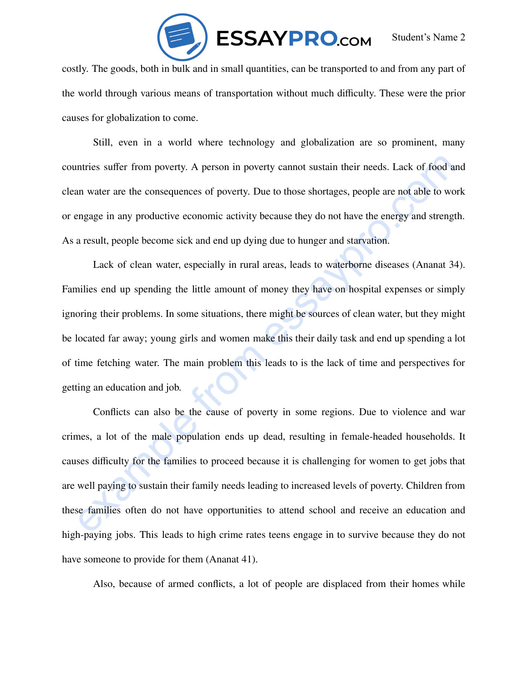

costly. The goods, both in bulk and in small quantities, can be transported to and from any part of the world through various means of transportation without much difficulty. These were the prior causes for globalization to come.

Still, even in a world where technology and globalization are so prominent, many countries suffer from poverty. A person in poverty cannot sustain their needs. Lack of food and clean water are the consequences of poverty. Due to those shortages, people are not able to work or engage in any productive economic activity because they do not have the energy and strength. As a result, people become sick and end up dying due to hunger and starvation.

ntries suffer from poverty. A person in poverty cannot sustain their needs. Lack of food and<br>an water are the consequences of poverty. Due to those shortages, people are not able to work<br>engage in any productive economic a Lack of clean water, especially in rural areas, leads to waterborne diseases (Ananat 34). Families end up spending the little amount of money they have on hospital expenses or simply ignoring their problems. In some situations, there might be sources of clean water, but they might be located far away; young girls and women make this their daily task and end up spending a lot of time fetching water. The main problem this leads to is the lack of time and perspectives for getting an education and job.

Conflicts can also be the cause of poverty in some regions. Due to violence and war crimes, a lot of the male population ends up dead, resulting in female-headed households. It causes difficulty for the families to proceed because it is challenging for women to get jobs that are well paying to sustain their family needs leading to increased levels of poverty. Children from these families often do not have opportunities to attend school and receive an education and high-paying jobs. This leads to high crime rates teens engage in to survive because they do not have someone to provide for them (Ananat 41).

Also, because of armed conflicts, a lot of people are displaced from their homes while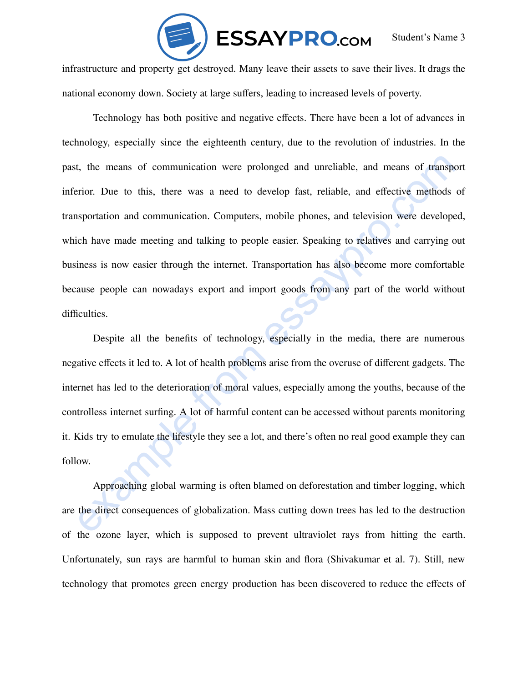

infrastructure and property get destroyed. Many leave their assets to save their lives. It drags the national economy down. Society at large suffers, leading to increased levels of poverty.

to the means of communication were prolonged and unreliable, and means of transport<br>
erior. Due to this, there was a need to develop fast, reliable, and effective methods of<br>
asportation and communication. Computers, mobil Technology has both positive and negative effects. There have been a lot of advances in technology, especially since the eighteenth century, due to the revolution of industries. In the past, the means of communication were prolonged and unreliable, and means of transport inferior. Due to this, there was a need to develop fast, reliable, and effective methods of transportation and communication. Computers, mobile phones, and television were developed, which have made meeting and talking to people easier. Speaking to relatives and carrying out business is now easier through the internet. Transportation has also become more comfortable because people can nowadays export and import goods from any part of the world without difficulties.

Despite all the benefits of technology, especially in the media, there are numerous negative effects it led to. A lot of health problems arise from the overuse of different gadgets. The internet has led to the deterioration of moral values, especially among the youths, because of the controlless internet surfing. A lot of harmful content can be accessed without parents monitoring it. Kids try to emulate the lifestyle they see a lot, and there's often no real good example they can follow.

Approaching global warming is often blamed on deforestation and timber logging, which are the direct consequences of globalization. Mass cutting down trees has led to the destruction of the ozone layer, which is supposed to prevent ultraviolet rays from hitting the earth. Unfortunately, sun rays are harmful to human skin and flora (Shivakumar et al. 7). Still, new technology that promotes green energy production has been discovered to reduce the effects of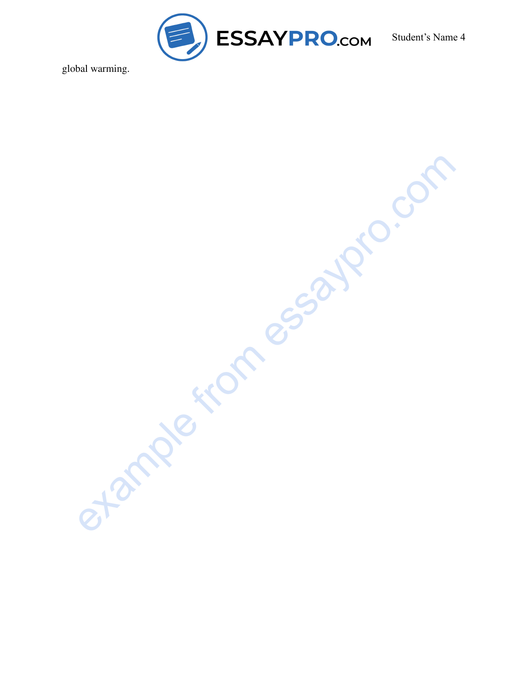

global warming.

example from essaypro.com